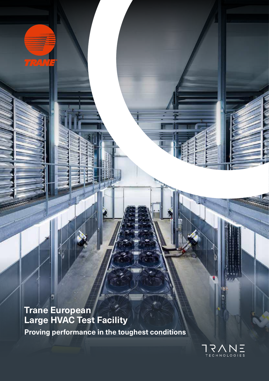**Proving performance in the toughest conditions Trane European Large HVAC Test Facility**

**TRANTS** 



*© Jérôme Baudoin*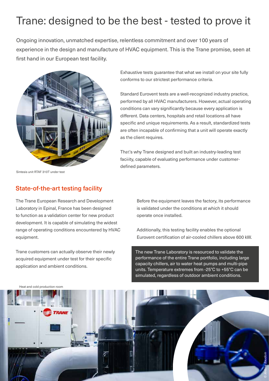# Trane: designed to be the best - tested to prove it

Ongoing innovation, unmatched expertise, relentless commitment and over 100 years of experience in the design and manufacture of HVAC equipment. This is the Trane promise, seen at first hand in our European test facility.



Exhaustive tests guarantee that what we install on your site fully conforms to our strictest performance criteria.

Standard Eurovent tests are a well-recognized industry practice, performed by all HVAC manufacturers. However, actual operating conditions can vary significantly because every application is different. Data centers, hospitals and retail locations all have specific and unique requirements. As a result, standardized tests are often incapable of confirming that a unit will operate exactly as the client requires.

That's why Trane designed and built an industry-leading test facility, capable of evaluating performance under customerdefined parameters. *© Jérôme Baudoin* 

Sintesis unit RTAF 310T under test

# State-of-the-art testing facility

The Trane European Research and Development Laboratory in Epinal, France has been designed to function as a validation center for new product development. It is capable of simulating the widest range of operating conditions encountered by HVAC equipment.

Trane customers can actually observe their newly acquired equipment under test for their specific application and ambient conditions.

Before the equipment leaves the factory, its performance is validated under the conditions at which it should operate once installed.

Additionally, this testing facility enables the optional Eurovent certification of air-cooled chillers above 600 kW.

The new Trane Laboratory is resourced to validate the performance of the entire Trane portfolio, including large capacity chillers, air to water heat pumps and multi-pipe units. Temperature extremes from -25°C to +55°C can be simulated, regardless of outdoor ambient conditions.



Heat and cold production room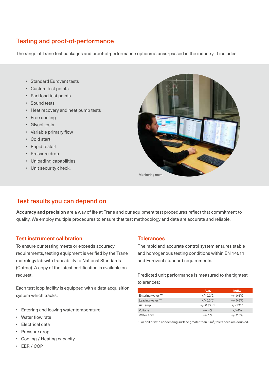# Testing and proof-of-performance

The range of Trane test packages and proof-of-performance options is unsurpassed in the industry. It includes:

- Standard Eurovent tests
- Custom test points
- Part load test points
- Sound tests
- Heat recovery and heat pump tests
- Free cooling
- Glycol tests
- Variable primary flow
- Cold start
- Rapid restart
- Pressure drop
- Unloading capabilities
- Unit security check.



# Test results you can depend on

**Accuracy and precision** are a way of life at Trane and our equipment test procedures reflect that commitment to quality. We employ multiple procedures to ensure that test methodology and data are accurate and reliable.

#### Test instrument calibration

To ensure our testing meets or exceeds accuracy requirements, testing equipment is verified by the Trane metrology lab with traceability to National Standards (Cofrac). A copy of the latest certification is available on request.

Each test loop facility is equipped with a data acquisition system which tracks:

- Entering and leaving water temperature
- Water flow rate
- Electrical data
- Pressure drop
- Cooling / Heating capacity
- EER / COP.

#### **Tolerances**

The rapid and accurate control system ensures stable and homogenous testing conditions within EN 14511 and Eurovent standard requirements.

Predicted unit performance is measured to the tightest tolerances:

|                   | Avg.                | Indiv.                         |
|-------------------|---------------------|--------------------------------|
| Entering water T° | $+/- 0.2^{\circ}$ C | $+/- 0.5^{\circ}$ C            |
| Leaving water T°  | $+/- 0.3$ °C        | $+/- 0.6^{\circ}$ C            |
| Air temp          | $+/- 0.3$ °C 1      | $+/- 1^{\circ}$ C <sup>1</sup> |
| Voltage           | $+/- 4%$            | $+/- 4%$                       |
| Water flow        | $+/-1%$             | $+/- 2.5%$                     |

<sup>1</sup> For chiller with condensing surface greater than 5  $\text{m}^2$ , tolerances are doubled.